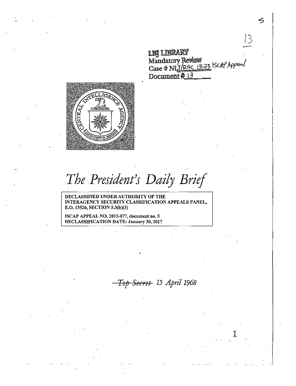lLlBJ~ . Mandatory Review  $\sim$  10100000 Marculos , 2012.<br>Case # NLJ/<u>PAC 1323</u> SCAP Appeal Document # 13

|3



*The President)s Daily Brief* 

DECLASSIFIED UNDER AUTHORITY OF THE INTERAGENCY SECURITY CLASSIFICATION APPEALS PANEL, E.O. 13526, SECTION 5.3(b)(3)

ISCAP APPEAL NO. 2015-077, document no. 3 DECLASSIFICATION DATE: January 30, 2017

*Top Secret 15 April 1968* 

1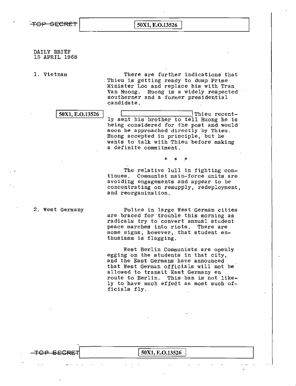DAILY BRIEF 15 APRIL 1968

1. Vietnam There are further indications that .Thieu is getting ready to dump Prime Minister Loe and replace him with Tran Van Huong. Huong is a widely respected southerner and a former presidential candidate.

 $\boxed{50X1, E.O.13526}$  Thieu recently sent his brother to tell Huong he is being considered for the post and would soon be approached directly by Thieu. Huong accepted in principle, but he wants to talk with Thieu before making a definite commitment.

> The relative lull in fighting continues. Communist main-force units are avoiding engagements and appear to be concentrating on resupply, redeployment, and reorganization.

\* \* ·\*

2. west Germany

Police in large West German cities are braced for trouble this morning as radicals try to convert annual student peace marches into riots. There are some signs, however, that student enthusiasm is flagging.

West Berlin Communists are openly egging on the students in that city, and the East Germans have announced that West German officials will not be· allowed to transit East Germany en route to Berlin. This·ban is not likely to have much effect as most such officials fly.

TOP SECRET 50X1, E.O.13526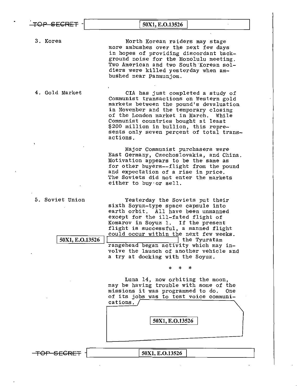| TOP SECRET                         | 50X1, E.O.13526                                                                                                                                                                                                                                                                                                                                                                                                      |
|------------------------------------|----------------------------------------------------------------------------------------------------------------------------------------------------------------------------------------------------------------------------------------------------------------------------------------------------------------------------------------------------------------------------------------------------------------------|
| 3. Korea                           | North Korean raiders may stage<br>more ambushes over the next few days<br>in hopes of providing discordant back-<br>ground noise for the Honolulu meeting.<br>Two American and two South Korean sol-<br>diers were killed yesterday when am-<br>bushed near Panmunjom.                                                                                                                                               |
| 4. Gold Market                     | CIA has just completed a study of<br>Communist transactions on Western gold<br>markets between the pound's devaluation<br>in November and the temporary closing<br>of the London market in March. While<br>Communist countries bought at least<br>\$200 million in bullion, this repre-<br>sents only seven percent of total trans-<br>actions.                                                                      |
|                                    | Major Communist purchasers were<br>East Germany, Czechoslovakia, and China.<br>Motivation appears to be the same as<br>for other buyers--flight from the pound<br>and expectation of a rise in price.<br>The Soviets did not enter the markets<br>either to buy or sell.                                                                                                                                             |
| 5. Soviet Union<br>50X1, E.O.13526 | Yesterday the Soviets put their<br>sixth Soyuz-type space capsule into<br>earth orbit. All have been unmanned<br>except for the ill-fated flight of<br>Komarov in Soyuz 1. If the present<br>flight is successful, a manned flight<br>could occur within the next few weeks<br>the Tyuratam<br>rangehead began activity which may in-<br>volve the launch of another vehicle and<br>a try at docking with the Soyuz. |
|                                    | $\ast$<br>*<br>*<br>Luna 14, now orbiting the moon,<br>may be having trouble with some of the<br>missions it was programmed to do.<br>One<br>of its jobs was to test voice communi-<br>cations.<br>50X1, E.O.13526                                                                                                                                                                                                   |
| <del>TOP SECRE</del>               | 50X1, E.O.13526                                                                                                                                                                                                                                                                                                                                                                                                      |

 $\pmb{\cdot}$ 

 $\mathbf{r}$ 

 $\bar{z}$ 

 $\Delta$